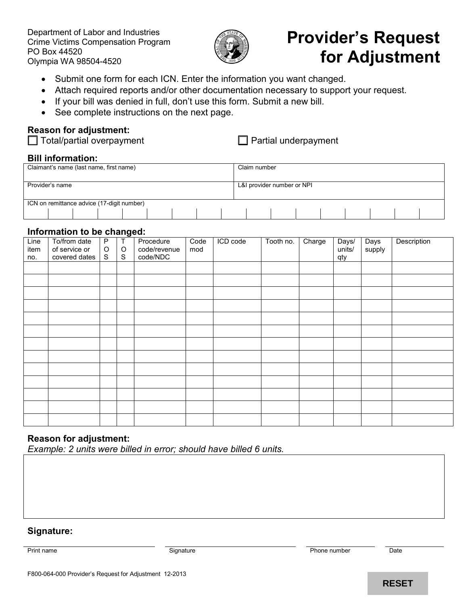Department of Labor and Industries Crime Victims Compensation Program PO Box 44520 Olympia WA 98504-4520



# **Provider's Request for Adjustment**

- Submit one form for each ICN. Enter the information you want changed.
- Attach required reports and/or other documentation necessary to support your request.
- If your bill was denied in full, don't use this form. Submit a new bill.
- See complete instructions on the next page.

### **Reason for adjustment:**

 $\Box$  Total/partial overpayment  $\Box$  Partial underpayment

#### **Bill information:**

| Claimant's name (last name, first name)    |  |  |  |  |  | Claim number               |  |  |  |  |  |  |  |
|--------------------------------------------|--|--|--|--|--|----------------------------|--|--|--|--|--|--|--|
| Provider's name                            |  |  |  |  |  | L&I provider number or NPI |  |  |  |  |  |  |  |
| ICN on remittance advice (17-digit number) |  |  |  |  |  |                            |  |  |  |  |  |  |  |
|                                            |  |  |  |  |  |                            |  |  |  |  |  |  |  |

#### **Information to be changed:**

| Line<br>item | To/from date<br>of service or | $\mathsf{P}$<br>$\circ$ | T<br>$\circ$ | Procedure<br>code/revenue | Code<br>mod | ICD code | Tooth no. | Charge | Days/<br>units/ | Days<br>supply | Description |
|--------------|-------------------------------|-------------------------|--------------|---------------------------|-------------|----------|-----------|--------|-----------------|----------------|-------------|
| no.          | covered dates                 | ${\mathsf S}$           | S            | code/NDC                  |             |          |           |        | qty             |                |             |
|              |                               |                         |              |                           |             |          |           |        |                 |                |             |
|              |                               |                         |              |                           |             |          |           |        |                 |                |             |
|              |                               |                         |              |                           |             |          |           |        |                 |                |             |
|              |                               |                         |              |                           |             |          |           |        |                 |                |             |
|              |                               |                         |              |                           |             |          |           |        |                 |                |             |
|              |                               |                         |              |                           |             |          |           |        |                 |                |             |
|              |                               |                         |              |                           |             |          |           |        |                 |                |             |
|              |                               |                         |              |                           |             |          |           |        |                 |                |             |
|              |                               |                         |              |                           |             |          |           |        |                 |                |             |
|              |                               |                         |              |                           |             |          |           |        |                 |                |             |
|              |                               |                         |              |                           |             |          |           |        |                 |                |             |
|              |                               |                         |              |                           |             |          |           |        |                 |                |             |
|              |                               |                         |              |                           |             |          |           |        |                 |                |             |

#### **Reason for adjustment:**

*Example: 2 units were billed in error; should have billed 6 units.*

#### **Signature:**

Print name **Signature Signature Community Community** Phone number Date